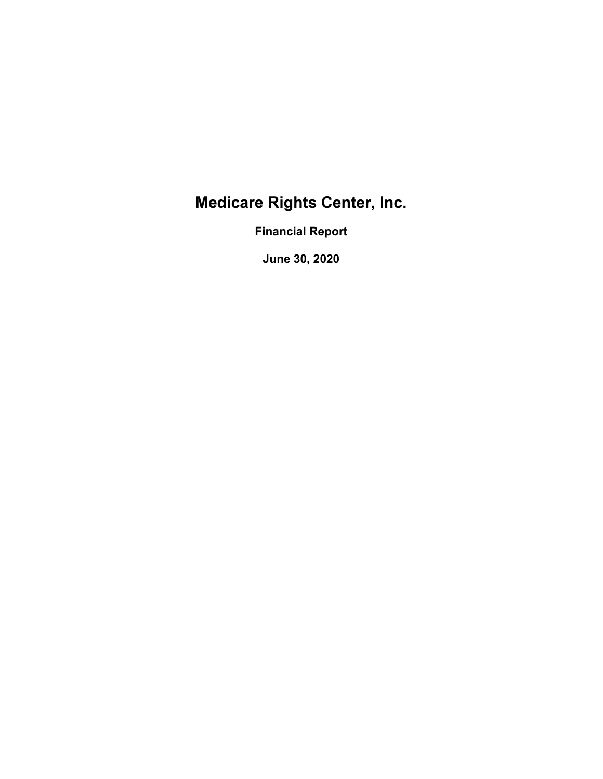# Medicare Rights Center, Inc.

Financial Report

June 30, 2020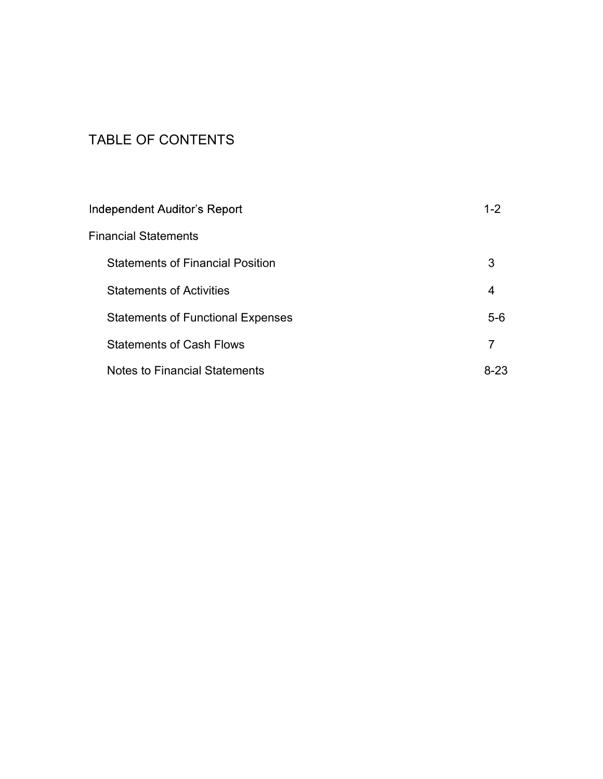# TABLE OF CONTENTS

| <b>Independent Auditor's Report</b>      | $1 - 2$ |
|------------------------------------------|---------|
| <b>Financial Statements</b>              |         |
| <b>Statements of Financial Position</b>  | 3       |
| <b>Statements of Activities</b>          | 4       |
| <b>Statements of Functional Expenses</b> | $5-6$   |
| <b>Statements of Cash Flows</b>          | 7       |
| <b>Notes to Financial Statements</b>     | 8-23    |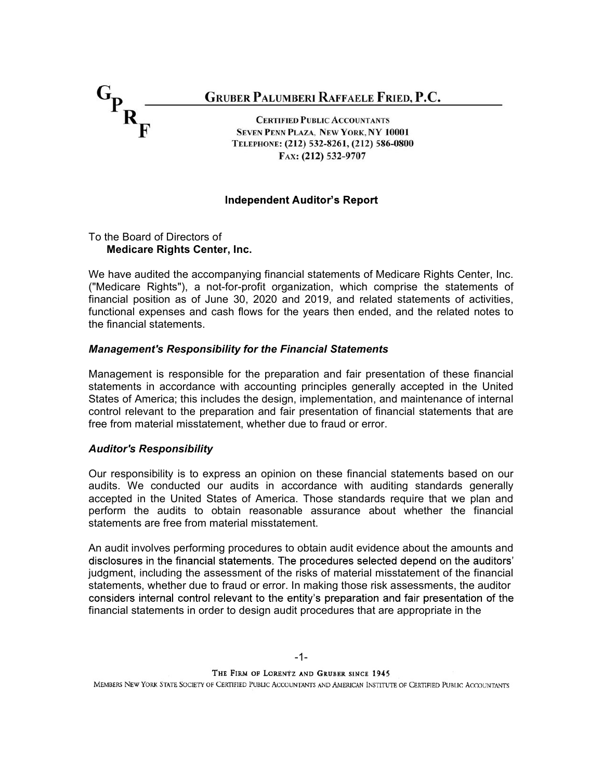

#### **Independent Auditor's Report**

#### To the Board of Directors of Medicare Rights Center, Inc.

We have audited the accompanying financial statements of Medicare Rights Center, Inc. ("Medicare Rights"), a not-for-profit organization, which comprise the statements of financial position as of June 30, 2020 and 2019, and related statements of activities, functional expenses and cash flows for the years then ended, and the related notes to the financial statements.

#### Management's Responsibility for the Financial Statements

Management is responsible for the preparation and fair presentation of these financial statements in accordance with accounting principles generally accepted in the United States of America; this includes the design, implementation, and maintenance of internal control relevant to the preparation and fair presentation of financial statements that are free from material misstatement, whether due to fraud or error.

#### Auditor's Responsibility

Our responsibility is to express an opinion on these financial statements based on our audits. We conducted our audits in accordance with auditing standards generally accepted in the United States of America. Those standards require that we plan and perform the audits to obtain reasonable assurance about whether the financial statements are free from material misstatement.

An audit involves performing procedures to obtain audit evidence about the amounts and disclosures in the financial statements. The procedures selected depend on the auditors' judgment, including the assessment of the risks of material misstatement of the financial statements, whether due to fraud or error. In making those risk assessments, the auditor considers internal control relevant to the entity's preparation and fair presentation of the financial statements in order to design audit procedures that are appropriate in the

THE FIRM OF LORENTZ AND GRUBER SINCE 1945

MEMBERS NEW YORK STATE SOCIETY OF CERTIFIED PUBLIC ACCOUNTANTS AND AMERICAN INSTITUTE OF CERTIFIED PUBLIC ACCOUNTANTS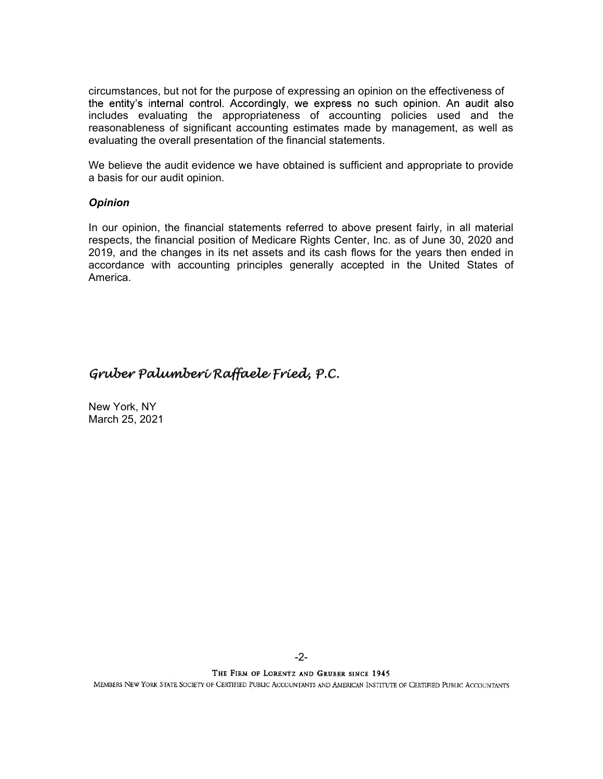circumstances, but not for the purpose of expressing an opinion on the effectiveness of the entity's internal control. Accordingly, we express no such opinion. An audit also includes evaluating the appropriateness of accounting policies used and the reasonableness of significant accounting estimates made by management, as well as evaluating the overall presentation of the financial statements.

We believe the audit evidence we have obtained is sufficient and appropriate to provide a basis for our audit opinion.

#### **Opinion**

In our opinion, the financial statements referred to above present fairly, in all material respects, the financial position of Medicare Rights Center, Inc. as of June 30, 2020 and 2019, and the changes in its net assets and its cash flows for the years then ended in accordance with accounting principles generally accepted in the United States of America.

## Gruber Palumberi Raffaele Fried, P.C.

New York, NY March 25, 2021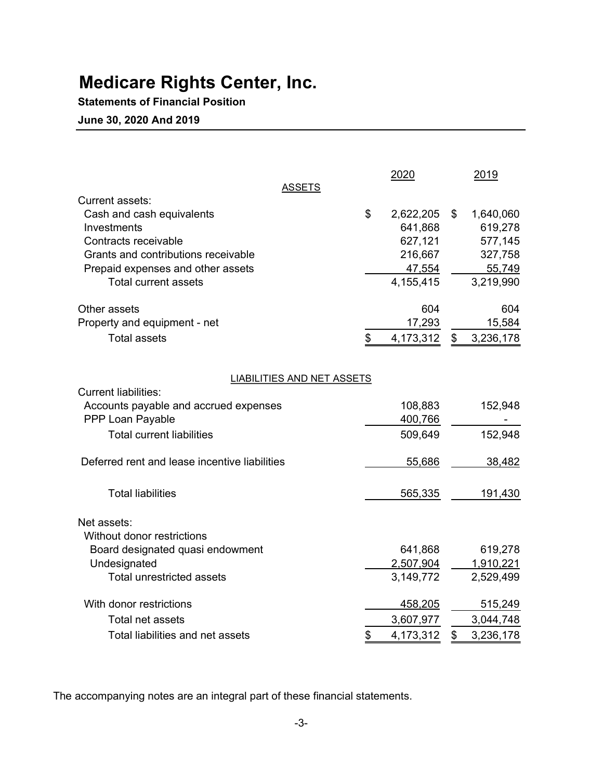# Medicare Rights Center, Inc.

## Statements of Financial Position

### June 30, 2020 And 2019

| <b>ASSETS</b>                                 | 2020            |               | 2019      |
|-----------------------------------------------|-----------------|---------------|-----------|
| Current assets:                               |                 |               |           |
| Cash and cash equivalents                     | \$<br>2,622,205 | \$            | 1,640,060 |
| Investments                                   | 641,868         |               | 619,278   |
| Contracts receivable                          | 627,121         |               | 577,145   |
| Grants and contributions receivable           | 216,667         |               | 327,758   |
| Prepaid expenses and other assets             | 47,554          |               | 55,749    |
| <b>Total current assets</b>                   | 4,155,415       |               | 3,219,990 |
| Other assets                                  | 604             |               | 604       |
| Property and equipment - net                  | 17,293          |               | 15,584    |
| <b>Total assets</b>                           | \$<br>4,173,312 | $\mathfrak s$ | 3,236,178 |
| <b>LIABILITIES AND NET ASSETS</b>             |                 |               |           |
| <b>Current liabilities:</b>                   |                 |               |           |
| Accounts payable and accrued expenses         | 108,883         |               | 152,948   |
| PPP Loan Payable                              | 400,766         |               |           |
| <b>Total current liabilities</b>              | 509,649         |               | 152,948   |
| Deferred rent and lease incentive liabilities | 55,686          |               | 38,482    |
|                                               |                 |               |           |
| <b>Total liabilities</b>                      | 565,335         |               | 191,430   |
| Net assets:                                   |                 |               |           |
| Without donor restrictions                    |                 |               |           |
| Board designated quasi endowment              | 641,868         |               | 619,278   |
| Undesignated                                  | 2,507,904       |               | 1,910,221 |
| <b>Total unrestricted assets</b>              | 3,149,772       |               | 2,529,499 |
| With donor restrictions                       | 458,205         |               | 515,249   |
| Total net assets                              | 3,607,977       |               | 3,044,748 |
| Total liabilities and net assets              | \$<br>4,173,312 | \$            | 3,236,178 |

The accompanying notes are an integral part of these financial statements.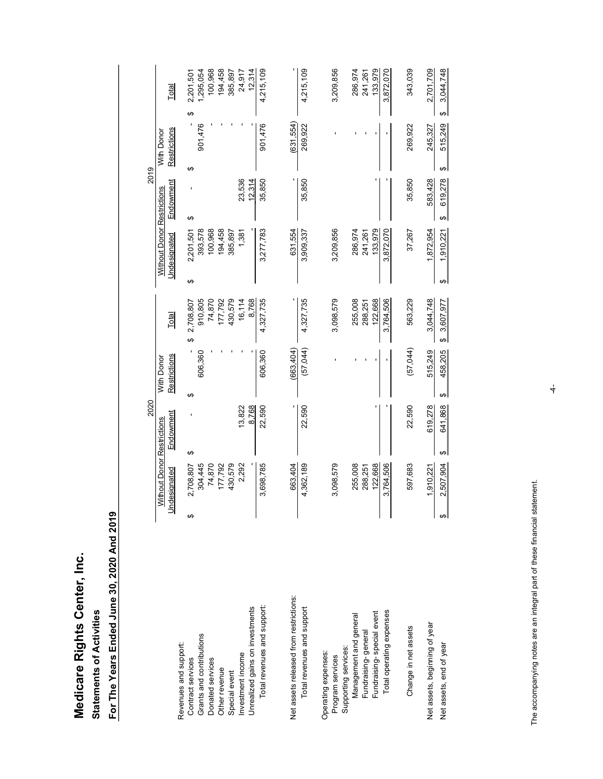| ċ           |
|-------------|
| ١<br>ï<br>I |
| Ş<br>ž      |

|                                                                      | 2020                                               |                                                    |                          | $\mathbf{I}$                                             | 2019               |                                             |                                      |
|----------------------------------------------------------------------|----------------------------------------------------|----------------------------------------------------|--------------------------|----------------------------------------------------------|--------------------|---------------------------------------------|--------------------------------------|
| Undesignated                                                         | Endowment<br>Without Donor Restrictions            | Restrictions<br>With Donor                         | Total                    | Without Donor Restrictions<br>Undesignated               | Endowment          | Restrictions<br>With Donor                  | Total                                |
| $\boldsymbol{\varphi}$<br>Revenues and support:<br>Contract services | $\blacksquare$<br>↮<br>2,708,807                   | $\pmb{\leftrightarrow}$<br>$\pmb{\leftrightarrow}$ | 2,708,807                | $\boldsymbol{\varphi}$<br>2,201,501<br>$\leftrightarrow$ | ı                  | ٠<br>$\boldsymbol{\varphi}$                 | 2,201,501<br>$\pmb{\leftrightarrow}$ |
| Grants and contributions<br>Donated services                         | 74,870<br>304,445                                  | 606,360                                            | 74,870<br>910,805        | 393,578<br>100,968                                       |                    | 901,476                                     | 100,968<br>1,295,054                 |
| Other revenue                                                        | 177,792                                            |                                                    | 177,792                  | 194,458                                                  |                    |                                             | 194,458                              |
| Special event                                                        | 430,579                                            |                                                    | 430,579                  | 385,897                                                  |                    |                                             | 385,897                              |
| Unrealized gains on investments<br>Investment income                 | 8,768<br>13,822<br>2,292                           |                                                    | 16,114<br>8,768          | 1,381                                                    | 23,536<br>12,314   |                                             | 12,314<br>24,917                     |
| Total revenues and support:                                          | 22,590<br>3,698,785                                | 606,360                                            | 4,327,735                | 3,277,783                                                | 35,850             | 901,476                                     | 4,215,109                            |
| Net assets released from restrictions:                               | 663,404                                            | (663, 404)                                         |                          | 631,554                                                  |                    | (631, 554)                                  |                                      |
| Total revenues and support                                           | 22,590<br>4,362,189                                | (57,044)                                           | 4,327,735                | 3,909,337                                                | 35,850             | 269,922                                     | 4,215,109                            |
| Operating expenses:<br>Program services                              | 3,098,579                                          |                                                    | 3,098,579                | 3,209,856                                                |                    |                                             | 3,209,856                            |
| Supporting services:                                                 |                                                    |                                                    |                          |                                                          |                    |                                             |                                      |
| Management and general<br>Fundraising-general                        | 255,008<br>288,251                                 |                                                    | 255,008<br>288,251       | 286,974<br>241,261                                       |                    |                                             | 286,974<br>241,261                   |
| Total operating expenses<br>Fundraising-special event                | 3,764,506<br>122,668                               | $\blacksquare$                                     | 3,764,506<br>122,668     | 3,872,070<br>133,979                                     |                    | $\blacksquare$                              | 3,872,070<br>133,979                 |
| Change in net assets                                                 | 22,590<br>597,683                                  | (57,044)                                           | 563,229                  | 37,267                                                   | 35,850             | 269,922                                     | 343,039                              |
| Net assets, beginning of year                                        |                                                    |                                                    |                          |                                                          |                    |                                             |                                      |
|                                                                      |                                                    |                                                    |                          |                                                          |                    |                                             |                                      |
| ⊷<br>Net assets, end of year                                         | 641,868<br>619,278<br>∣⊕<br>2,507,904<br>1,910,221 | 515,249<br>458,205<br>ക                            | 3,044,748<br>\$3,607,977 | ക∣<br>,872,954<br>1,910,221<br>$\overline{ }$<br>↮       | 583,428<br>619,278 | 515,249<br>245,327<br>$\boldsymbol{\theta}$ | 2,701,709<br>3,044,748<br>ക∣         |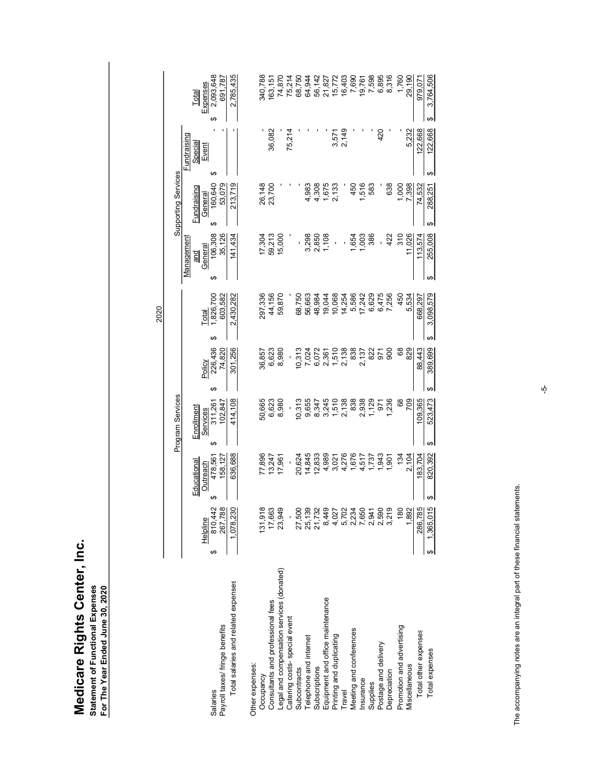| 2,785,435<br>979,071<br>340,788<br>15,772<br>3,764,506<br>691,787<br>163,151<br>Total<br>↮<br>⇔l<br>122,668<br>75,214<br>2,149<br>420<br>122,668<br>٠<br>36,082<br>3,571<br>5,232<br>Fundraising<br>Special<br>Event<br>↮<br>⊷<br><b>Supporting Services</b><br>General<br>160,640<br>23,700<br>53,079<br>213,719<br>26,148<br>4,983<br>4,308<br>1,675<br>2,133<br>450<br>638<br>1,000<br>7,398<br>74,532<br>1,516<br>583<br>288,251<br><b>Fundraising</b><br>↔<br>⊷<br>106,308<br>35,126<br>11,026<br>113,574<br>255,008<br>141,434<br>17,304<br>59,213<br>15,000<br>3,298<br>2,850<br>1,108<br>1,654<br>386<br>422<br>310<br>1,003<br>1anagement<br>General<br>and<br>ା≥ା<br>$\leftrightarrow$<br>ا⊶ا<br>Total<br>1,826,700<br>44,156<br>603,582<br>2,430,282<br>297,336<br>59,870<br>68,750<br>56,663<br>48,984<br>19,044<br>10,068<br>14,254<br>5,586<br>17,242<br>6,629<br>6,475<br>7,256<br>5,534<br>668,297<br>3,098,579<br>450<br>$\pmb{\leftrightarrow}$<br>ఱ<br>226,436<br>389,699<br>74,820<br>301,256<br>6,623<br>8,980<br>10,313<br>1,510<br>2,138<br>838<br>900<br>88,443<br>7,024<br>6,072<br>822<br>971<br>8<br>829<br>36,857<br>2,361<br>2,137<br>Policy<br>ఱ<br>↮<br>Program Services<br>8,980<br>10,313<br>1,510<br>2,138<br>838<br>1,129<br>109,365<br>Services<br>311,261<br>414,108<br>50,665<br>6,623<br>9,655<br>3,245<br>2,938<br>1,236<br>523,473<br>971<br>$^{\rm 63}$<br>709<br>102,847<br>8,347<br>Enrollment<br>$\qquad \qquad \  \  \, \bullet$<br>မာ∣<br>$\frac{\text{Outreach}}{478,561}$<br>636,688<br>183,704<br>820,392<br>77,896<br>14,845<br>4,989<br>4,276<br>1,943<br>134<br>2,104<br>20,624<br>12,833<br>1,676<br>17,961<br>1,901<br>158,127<br>13,247<br>3,021<br>4,517<br>1,737<br>Educational<br>↔<br>↔<br>267,788<br>1,078,230<br>23,949<br>286,785<br>810,442<br>131,918<br>17,663<br>27,500<br>25,139<br>21,732<br>8,449<br>5,702<br>7,650<br>2,590<br>3,219<br>1,892<br>2,234<br>180<br>4,027<br>2,941<br>Helpline<br>ിക<br>↔<br>Legal and compensation services (donated)<br>Total salaries and related expenses<br>Equipment and office maintenance<br>Consultants and professional fees<br>Catering costs-special event<br>Payroll taxes/ fringe benefits<br>Promotion and advertising<br>Meeting and conferences<br>Total other expenses<br>Printing and duplicating<br>Telephone and internet<br>Postage and delivery<br>Total expenses<br>Other expenses:<br>Miscellaneous<br>Subscriptions<br>Subcontracts<br>Depreciation<br>Occupancy<br>Insurance<br>Supplies<br>Travel<br>Salaries | e accompanying notes are an integral part of these financial statements. | ပှ |  |
|-----------------------------------------------------------------------------------------------------------------------------------------------------------------------------------------------------------------------------------------------------------------------------------------------------------------------------------------------------------------------------------------------------------------------------------------------------------------------------------------------------------------------------------------------------------------------------------------------------------------------------------------------------------------------------------------------------------------------------------------------------------------------------------------------------------------------------------------------------------------------------------------------------------------------------------------------------------------------------------------------------------------------------------------------------------------------------------------------------------------------------------------------------------------------------------------------------------------------------------------------------------------------------------------------------------------------------------------------------------------------------------------------------------------------------------------------------------------------------------------------------------------------------------------------------------------------------------------------------------------------------------------------------------------------------------------------------------------------------------------------------------------------------------------------------------------------------------------------------------------------------------------------------------------------------------------------------------------------------------------------------------------------------------------------------------------------------------------------------------------------------------------------------------------------------------------------------------------------------------------------------------------------------------------------------------------------------------------------------------------------------------------------------------------------------------------------------------------------------------------------------------------------------------------------|--------------------------------------------------------------------------|----|--|
| Expenses<br>2,093,648<br>75,214<br>68,750<br>16,403<br>7,690<br>19,761<br>7,598<br>6,895<br>8,316<br>1,760<br>29,190<br>74,870<br>64,944<br>56, 142<br>21, 827                                                                                                                                                                                                                                                                                                                                                                                                                                                                                                                                                                                                                                                                                                                                                                                                                                                                                                                                                                                                                                                                                                                                                                                                                                                                                                                                                                                                                                                                                                                                                                                                                                                                                                                                                                                                                                                                                                                                                                                                                                                                                                                                                                                                                                                                                                                                                                                |                                                                          |    |  |
|                                                                                                                                                                                                                                                                                                                                                                                                                                                                                                                                                                                                                                                                                                                                                                                                                                                                                                                                                                                                                                                                                                                                                                                                                                                                                                                                                                                                                                                                                                                                                                                                                                                                                                                                                                                                                                                                                                                                                                                                                                                                                                                                                                                                                                                                                                                                                                                                                                                                                                                                               |                                                                          |    |  |
|                                                                                                                                                                                                                                                                                                                                                                                                                                                                                                                                                                                                                                                                                                                                                                                                                                                                                                                                                                                                                                                                                                                                                                                                                                                                                                                                                                                                                                                                                                                                                                                                                                                                                                                                                                                                                                                                                                                                                                                                                                                                                                                                                                                                                                                                                                                                                                                                                                                                                                                                               |                                                                          |    |  |
|                                                                                                                                                                                                                                                                                                                                                                                                                                                                                                                                                                                                                                                                                                                                                                                                                                                                                                                                                                                                                                                                                                                                                                                                                                                                                                                                                                                                                                                                                                                                                                                                                                                                                                                                                                                                                                                                                                                                                                                                                                                                                                                                                                                                                                                                                                                                                                                                                                                                                                                                               |                                                                          |    |  |
|                                                                                                                                                                                                                                                                                                                                                                                                                                                                                                                                                                                                                                                                                                                                                                                                                                                                                                                                                                                                                                                                                                                                                                                                                                                                                                                                                                                                                                                                                                                                                                                                                                                                                                                                                                                                                                                                                                                                                                                                                                                                                                                                                                                                                                                                                                                                                                                                                                                                                                                                               |                                                                          |    |  |
|                                                                                                                                                                                                                                                                                                                                                                                                                                                                                                                                                                                                                                                                                                                                                                                                                                                                                                                                                                                                                                                                                                                                                                                                                                                                                                                                                                                                                                                                                                                                                                                                                                                                                                                                                                                                                                                                                                                                                                                                                                                                                                                                                                                                                                                                                                                                                                                                                                                                                                                                               |                                                                          |    |  |
|                                                                                                                                                                                                                                                                                                                                                                                                                                                                                                                                                                                                                                                                                                                                                                                                                                                                                                                                                                                                                                                                                                                                                                                                                                                                                                                                                                                                                                                                                                                                                                                                                                                                                                                                                                                                                                                                                                                                                                                                                                                                                                                                                                                                                                                                                                                                                                                                                                                                                                                                               |                                                                          |    |  |
|                                                                                                                                                                                                                                                                                                                                                                                                                                                                                                                                                                                                                                                                                                                                                                                                                                                                                                                                                                                                                                                                                                                                                                                                                                                                                                                                                                                                                                                                                                                                                                                                                                                                                                                                                                                                                                                                                                                                                                                                                                                                                                                                                                                                                                                                                                                                                                                                                                                                                                                                               |                                                                          |    |  |
|                                                                                                                                                                                                                                                                                                                                                                                                                                                                                                                                                                                                                                                                                                                                                                                                                                                                                                                                                                                                                                                                                                                                                                                                                                                                                                                                                                                                                                                                                                                                                                                                                                                                                                                                                                                                                                                                                                                                                                                                                                                                                                                                                                                                                                                                                                                                                                                                                                                                                                                                               |                                                                          |    |  |
|                                                                                                                                                                                                                                                                                                                                                                                                                                                                                                                                                                                                                                                                                                                                                                                                                                                                                                                                                                                                                                                                                                                                                                                                                                                                                                                                                                                                                                                                                                                                                                                                                                                                                                                                                                                                                                                                                                                                                                                                                                                                                                                                                                                                                                                                                                                                                                                                                                                                                                                                               |                                                                          |    |  |
|                                                                                                                                                                                                                                                                                                                                                                                                                                                                                                                                                                                                                                                                                                                                                                                                                                                                                                                                                                                                                                                                                                                                                                                                                                                                                                                                                                                                                                                                                                                                                                                                                                                                                                                                                                                                                                                                                                                                                                                                                                                                                                                                                                                                                                                                                                                                                                                                                                                                                                                                               |                                                                          |    |  |
|                                                                                                                                                                                                                                                                                                                                                                                                                                                                                                                                                                                                                                                                                                                                                                                                                                                                                                                                                                                                                                                                                                                                                                                                                                                                                                                                                                                                                                                                                                                                                                                                                                                                                                                                                                                                                                                                                                                                                                                                                                                                                                                                                                                                                                                                                                                                                                                                                                                                                                                                               |                                                                          |    |  |
|                                                                                                                                                                                                                                                                                                                                                                                                                                                                                                                                                                                                                                                                                                                                                                                                                                                                                                                                                                                                                                                                                                                                                                                                                                                                                                                                                                                                                                                                                                                                                                                                                                                                                                                                                                                                                                                                                                                                                                                                                                                                                                                                                                                                                                                                                                                                                                                                                                                                                                                                               |                                                                          |    |  |
|                                                                                                                                                                                                                                                                                                                                                                                                                                                                                                                                                                                                                                                                                                                                                                                                                                                                                                                                                                                                                                                                                                                                                                                                                                                                                                                                                                                                                                                                                                                                                                                                                                                                                                                                                                                                                                                                                                                                                                                                                                                                                                                                                                                                                                                                                                                                                                                                                                                                                                                                               |                                                                          |    |  |
|                                                                                                                                                                                                                                                                                                                                                                                                                                                                                                                                                                                                                                                                                                                                                                                                                                                                                                                                                                                                                                                                                                                                                                                                                                                                                                                                                                                                                                                                                                                                                                                                                                                                                                                                                                                                                                                                                                                                                                                                                                                                                                                                                                                                                                                                                                                                                                                                                                                                                                                                               |                                                                          |    |  |
|                                                                                                                                                                                                                                                                                                                                                                                                                                                                                                                                                                                                                                                                                                                                                                                                                                                                                                                                                                                                                                                                                                                                                                                                                                                                                                                                                                                                                                                                                                                                                                                                                                                                                                                                                                                                                                                                                                                                                                                                                                                                                                                                                                                                                                                                                                                                                                                                                                                                                                                                               |                                                                          |    |  |
|                                                                                                                                                                                                                                                                                                                                                                                                                                                                                                                                                                                                                                                                                                                                                                                                                                                                                                                                                                                                                                                                                                                                                                                                                                                                                                                                                                                                                                                                                                                                                                                                                                                                                                                                                                                                                                                                                                                                                                                                                                                                                                                                                                                                                                                                                                                                                                                                                                                                                                                                               |                                                                          |    |  |
|                                                                                                                                                                                                                                                                                                                                                                                                                                                                                                                                                                                                                                                                                                                                                                                                                                                                                                                                                                                                                                                                                                                                                                                                                                                                                                                                                                                                                                                                                                                                                                                                                                                                                                                                                                                                                                                                                                                                                                                                                                                                                                                                                                                                                                                                                                                                                                                                                                                                                                                                               |                                                                          |    |  |
|                                                                                                                                                                                                                                                                                                                                                                                                                                                                                                                                                                                                                                                                                                                                                                                                                                                                                                                                                                                                                                                                                                                                                                                                                                                                                                                                                                                                                                                                                                                                                                                                                                                                                                                                                                                                                                                                                                                                                                                                                                                                                                                                                                                                                                                                                                                                                                                                                                                                                                                                               |                                                                          |    |  |
|                                                                                                                                                                                                                                                                                                                                                                                                                                                                                                                                                                                                                                                                                                                                                                                                                                                                                                                                                                                                                                                                                                                                                                                                                                                                                                                                                                                                                                                                                                                                                                                                                                                                                                                                                                                                                                                                                                                                                                                                                                                                                                                                                                                                                                                                                                                                                                                                                                                                                                                                               |                                                                          |    |  |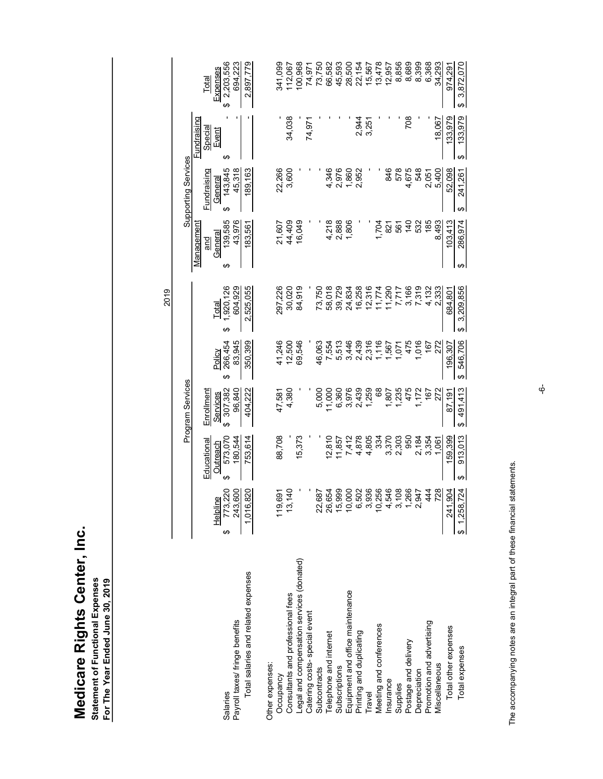|                                                                                                                                                                                                                                                |                                                |                                                           |                                             |                                  | 2019                               |                                                                      |                                                  |                                      |                                                  |
|------------------------------------------------------------------------------------------------------------------------------------------------------------------------------------------------------------------------------------------------|------------------------------------------------|-----------------------------------------------------------|---------------------------------------------|----------------------------------|------------------------------------|----------------------------------------------------------------------|--------------------------------------------------|--------------------------------------|--------------------------------------------------|
|                                                                                                                                                                                                                                                |                                                |                                                           | Program Services                            |                                  |                                    |                                                                      | <b>Supporting Services</b>                       |                                      |                                                  |
| ↮<br>Salaries<br>Payroll taxes/ fringe benefits                                                                                                                                                                                                | ↮<br>773,220<br>243,600<br>Helpline            | ↔<br><b>Educational</b><br>Outreach<br>573,070<br>180,544 | Enrollment<br>Services<br>307,382<br>96,840 | 83,945<br>266,454<br>Policy<br>↮ | 604,929<br>1,920,126<br>Total<br>↮ | 139,585<br>43,976<br><b>lanagement</b><br>General<br>and<br>∣≥∣<br>↔ | General<br>143,845<br>Fundraising<br>45,318<br>↮ | Fundraising<br>Special<br>Event<br>↔ | Expenses<br>3 2,203,556<br>694,223<br>Total<br>↮ |
| Total salaries and related expenses                                                                                                                                                                                                            | 1,016,820                                      | 753,614                                                   | 404,222                                     | 350,399                          | 2,525,055                          | 183,561                                                              | 189,163                                          |                                      | 2,897,779                                        |
| Other expenses:<br>Occupancy<br>Cocupancy<br>Legal and compensation services (donated)<br>Legal and compensation services (donated)<br>Subscriptions<br>Telephone and internet<br>Equipment and office maintenance<br>Frinting and duplicating | 119,691                                        | 88,708                                                    | 47,581                                      | 41,246                           | 297,226                            | 21,607                                                               | 22,266                                           |                                      | 341,099                                          |
|                                                                                                                                                                                                                                                | 13,140                                         | 15,373                                                    | 4,380                                       | 69,546<br>12,500                 | 30,020<br>84,919                   | 16,049<br>44,409                                                     | 3,600                                            | 34,038                               | 100,968<br>112,067                               |
|                                                                                                                                                                                                                                                |                                                |                                                           |                                             |                                  |                                    |                                                                      |                                                  | 74,971                               | 74,971                                           |
|                                                                                                                                                                                                                                                | 26,654<br>22,687                               | 12,810                                                    | 5,000<br>11,000                             | 46,063<br>7,554                  | 73,750<br>58,018                   |                                                                      | 4,346                                            |                                      | 73,750<br>66,582                                 |
|                                                                                                                                                                                                                                                | 15,999                                         | 11,857                                                    | 6,360                                       | 5,513                            | 39,729                             | 4,218<br>2,888                                                       | 2,976                                            |                                      |                                                  |
|                                                                                                                                                                                                                                                | 10,000<br>6,502                                | 7,412<br>4,878                                            | 3,976<br>2,439                              | 3,446<br>2,439                   | 16,258<br>24,834                   | 1,806                                                                | 1,860<br>2,952                                   | 2,944                                | 45,593<br>28,500<br>22,154                       |
|                                                                                                                                                                                                                                                | 3,936                                          | 4,805                                                     | 1,259                                       | 2,316                            | 12,316                             |                                                                      |                                                  | 3,251                                |                                                  |
|                                                                                                                                                                                                                                                | 10,256<br>4,546                                | 3,370<br>334                                              | 68<br>1,807                                 | 1,116<br>1,567                   | 11,290<br>11,774                   | 1,704<br>821                                                         | 846                                              |                                      | 15,567<br>13,478<br>12,957                       |
|                                                                                                                                                                                                                                                | 3,108                                          | 2,303                                                     | 1,235                                       | 1,071                            | 7,717                              | 561                                                                  | 578                                              |                                      | 8,856                                            |
|                                                                                                                                                                                                                                                | 1,266                                          | 950                                                       | 475                                         | 475                              | 3,166                              | 140                                                                  | 4,675                                            | 708                                  | 8,689                                            |
|                                                                                                                                                                                                                                                | 444<br>2,947                                   | 2,184<br>3,354                                            | 1,172<br>167                                | 1,016<br>167                     | 7,319<br>4,132<br>2,333            | 185<br>532                                                           | 548<br>2,051                                     |                                      | 8,399<br>6,368                                   |
|                                                                                                                                                                                                                                                | 728                                            | 1.061                                                     | 272                                         | 272                              |                                    |                                                                      | 5.400                                            |                                      |                                                  |
|                                                                                                                                                                                                                                                |                                                |                                                           |                                             |                                  |                                    | 8,493                                                                |                                                  | 18.067                               | 34.293                                           |
| Total other expenses                                                                                                                                                                                                                           | $\boldsymbol{\varphi}$<br>1,258,724<br>241,904 | 159,399                                                   | 87,191                                      | 196,307                          | \$3,209,856<br>684,801             | 103,413<br>  မှာ                                                     | 52,098<br>$\boldsymbol{\varphi}$                 | 133,979<br>$\boldsymbol{\varphi}$    | 974,291<br>$\theta$                              |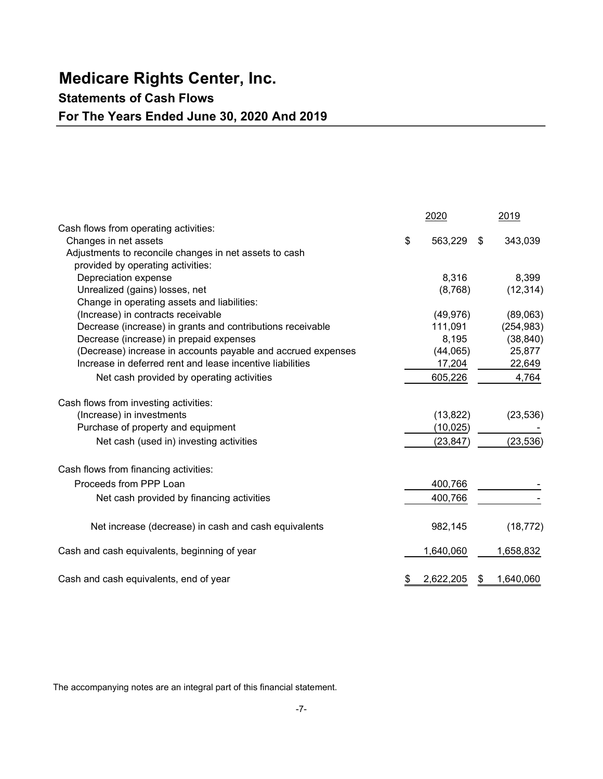# Medicare Rights Center, Inc.

## Statements of Cash Flows

## For The Years Ended June 30, 2020 And 2019

|                                                              | 2020            | 2019            |
|--------------------------------------------------------------|-----------------|-----------------|
| Cash flows from operating activities:                        |                 |                 |
| Changes in net assets                                        | \$<br>563,229   | \$<br>343,039   |
| Adjustments to reconcile changes in net assets to cash       |                 |                 |
| provided by operating activities:                            |                 |                 |
| Depreciation expense                                         | 8,316           | 8,399           |
| Unrealized (gains) losses, net                               | (8,768)         | (12, 314)       |
| Change in operating assets and liabilities:                  |                 |                 |
| (Increase) in contracts receivable                           | (49, 976)       | (89,063)        |
| Decrease (increase) in grants and contributions receivable   | 111,091         | (254, 983)      |
| Decrease (increase) in prepaid expenses                      | 8,195           | (38, 840)       |
| (Decrease) increase in accounts payable and accrued expenses | (44,065)        | 25,877          |
| Increase in deferred rent and lease incentive liabilities    | 17,204          | 22,649          |
| Net cash provided by operating activities                    | 605,226         | 4,764           |
| Cash flows from investing activities:                        |                 |                 |
| (Increase) in investments                                    | (13, 822)       | (23, 536)       |
| Purchase of property and equipment                           | (10, 025)       |                 |
| Net cash (used in) investing activities                      | (23, 847)       | (23, 536)       |
| Cash flows from financing activities:                        |                 |                 |
| Proceeds from PPP Loan                                       | 400,766         |                 |
| Net cash provided by financing activities                    | 400,766         |                 |
| Net increase (decrease) in cash and cash equivalents         | 982,145         | (18, 772)       |
| Cash and cash equivalents, beginning of year                 | 1,640,060       | 1,658,832       |
| Cash and cash equivalents, end of year                       | \$<br>2,622,205 | \$<br>1,640,060 |

The accompanying notes are an integral part of this financial statement.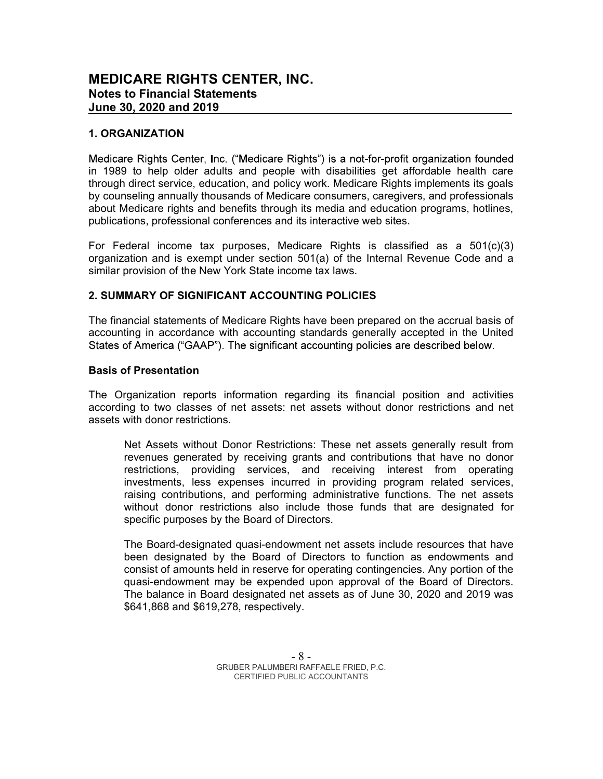#### 1. ORGANIZATION

Medicare Rights Center, Inc. ("Medicare Rights") is a not-for-profit organization founded in 1989 to help older adults and people with disabilities get affordable health care through direct service, education, and policy work. Medicare Rights implements its goals by counseling annually thousands of Medicare consumers, caregivers, and professionals about Medicare rights and benefits through its media and education programs, hotlines, publications, professional conferences and its interactive web sites.

For Federal income tax purposes, Medicare Rights is classified as a 501(c)(3) organization and is exempt under section 501(a) of the Internal Revenue Code and a similar provision of the New York State income tax laws.

#### 2. SUMMARY OF SIGNIFICANT ACCOUNTING POLICIES

The financial statements of Medicare Rights have been prepared on the accrual basis of accounting in accordance with accounting standards generally accepted in the United States of America ("GAAP"). The significant accounting policies are described below.

#### Basis of Presentation

The Organization reports information regarding its financial position and activities according to two classes of net assets: net assets without donor restrictions and net assets with donor restrictions.

Net Assets without Donor Restrictions: These net assets generally result from revenues generated by receiving grants and contributions that have no donor restrictions, providing services, and receiving interest from operating investments, less expenses incurred in providing program related services, raising contributions, and performing administrative functions. The net assets without donor restrictions also include those funds that are designated for specific purposes by the Board of Directors.

The Board-designated quasi-endowment net assets include resources that have been designated by the Board of Directors to function as endowments and consist of amounts held in reserve for operating contingencies. Any portion of the quasi-endowment may be expended upon approval of the Board of Directors. The balance in Board designated net assets as of June 30, 2020 and 2019 was \$641,868 and \$619,278, respectively.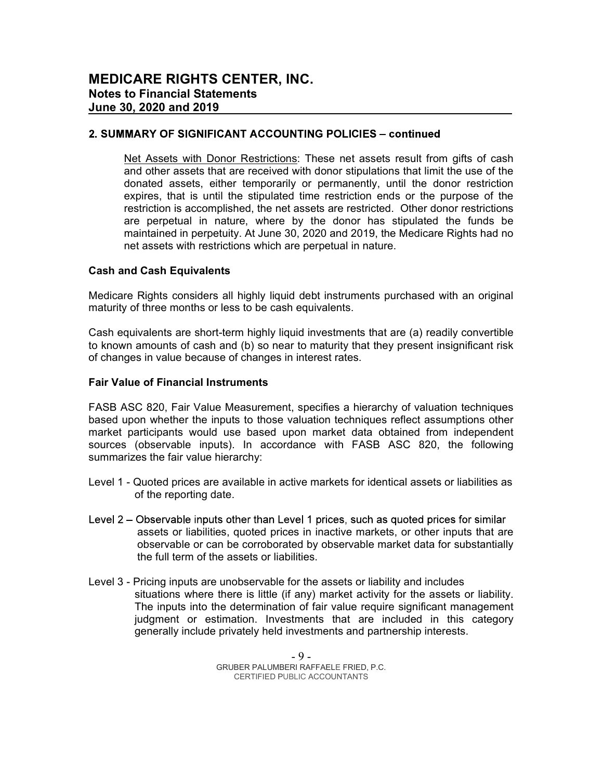#### 2. SUMMARY OF SIGNIFICANT ACCOUNTING POLICIES - continued

Net Assets with Donor Restrictions: These net assets result from gifts of cash and other assets that are received with donor stipulations that limit the use of the donated assets, either temporarily or permanently, until the donor restriction expires, that is until the stipulated time restriction ends or the purpose of the restriction is accomplished, the net assets are restricted. Other donor restrictions are perpetual in nature, where by the donor has stipulated the funds be maintained in perpetuity. At June 30, 2020 and 2019, the Medicare Rights had no net assets with restrictions which are perpetual in nature.

#### Cash and Cash Equivalents

Medicare Rights considers all highly liquid debt instruments purchased with an original maturity of three months or less to be cash equivalents.

Cash equivalents are short-term highly liquid investments that are (a) readily convertible to known amounts of cash and (b) so near to maturity that they present insignificant risk of changes in value because of changes in interest rates.

#### Fair Value of Financial Instruments

FASB ASC 820, Fair Value Measurement, specifies a hierarchy of valuation techniques based upon whether the inputs to those valuation techniques reflect assumptions other market participants would use based upon market data obtained from independent sources (observable inputs). In accordance with FASB ASC 820, the following summarizes the fair value hierarchy:

- Level 1 Quoted prices are available in active markets for identical assets or liabilities as of the reporting date.
- Level 2 Observable inputs other than Level 1 prices, such as quoted prices for similar assets or liabilities, quoted prices in inactive markets, or other inputs that are observable or can be corroborated by observable market data for substantially the full term of the assets or liabilities.
- Level 3 Pricing inputs are unobservable for the assets or liability and includes situations where there is little (if any) market activity for the assets or liability. The inputs into the determination of fair value require significant management judgment or estimation. Investments that are included in this category generally include privately held investments and partnership interests.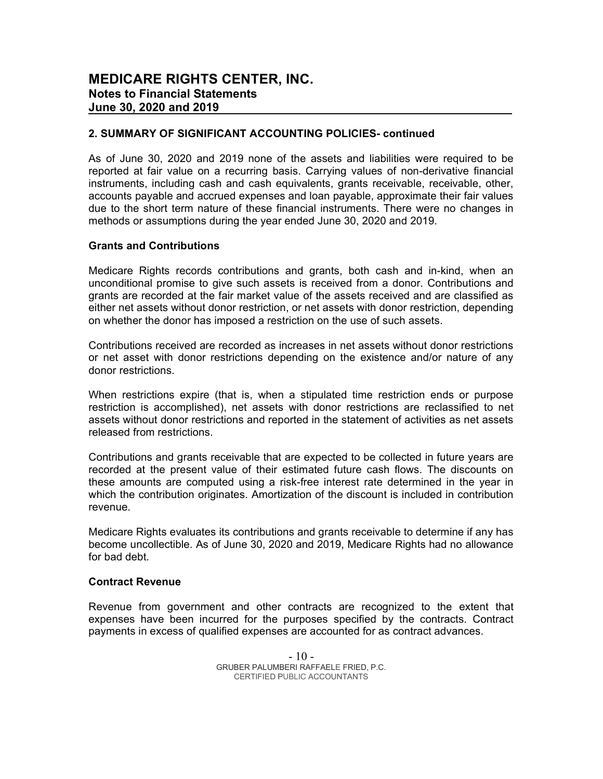#### 2. SUMMARY OF SIGNIFICANT ACCOUNTING POLICIES- continued

As of June 30, 2020 and 2019 none of the assets and liabilities were required to be reported at fair value on a recurring basis. Carrying values of non-derivative financial instruments, including cash and cash equivalents, grants receivable, receivable, other, accounts payable and accrued expenses and loan payable, approximate their fair values due to the short term nature of these financial instruments. There were no changes in methods or assumptions during the year ended June 30, 2020 and 2019.

#### Grants and Contributions

Medicare Rights records contributions and grants, both cash and in-kind, when an unconditional promise to give such assets is received from a donor. Contributions and grants are recorded at the fair market value of the assets received and are classified as either net assets without donor restriction, or net assets with donor restriction, depending on whether the donor has imposed a restriction on the use of such assets.

Contributions received are recorded as increases in net assets without donor restrictions or net asset with donor restrictions depending on the existence and/or nature of any donor restrictions.

When restrictions expire (that is, when a stipulated time restriction ends or purpose restriction is accomplished), net assets with donor restrictions are reclassified to net assets without donor restrictions and reported in the statement of activities as net assets released from restrictions.

Contributions and grants receivable that are expected to be collected in future years are recorded at the present value of their estimated future cash flows. The discounts on these amounts are computed using a risk-free interest rate determined in the year in which the contribution originates. Amortization of the discount is included in contribution revenue.

Medicare Rights evaluates its contributions and grants receivable to determine if any has become uncollectible. As of June 30, 2020 and 2019, Medicare Rights had no allowance for bad debt.

#### Contract Revenue

Revenue from government and other contracts are recognized to the extent that expenses have been incurred for the purposes specified by the contracts. Contract payments in excess of qualified expenses are accounted for as contract advances.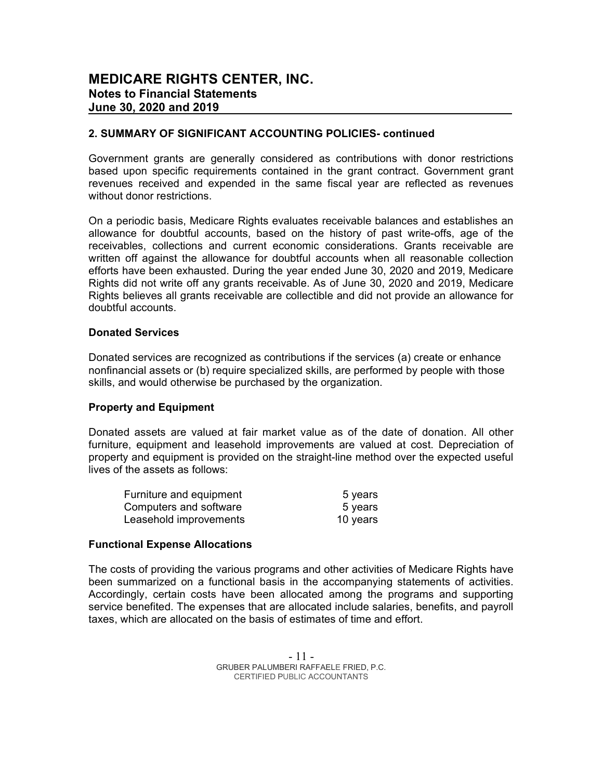#### 2. SUMMARY OF SIGNIFICANT ACCOUNTING POLICIES- continued

Government grants are generally considered as contributions with donor restrictions based upon specific requirements contained in the grant contract. Government grant revenues received and expended in the same fiscal year are reflected as revenues without donor restrictions.

On a periodic basis, Medicare Rights evaluates receivable balances and establishes an allowance for doubtful accounts, based on the history of past write-offs, age of the receivables, collections and current economic considerations. Grants receivable are written off against the allowance for doubtful accounts when all reasonable collection efforts have been exhausted. During the year ended June 30, 2020 and 2019, Medicare Rights did not write off any grants receivable. As of June 30, 2020 and 2019, Medicare Rights believes all grants receivable are collectible and did not provide an allowance for doubtful accounts.

#### Donated Services

Donated services are recognized as contributions if the services (a) create or enhance nonfinancial assets or (b) require specialized skills, are performed by people with those skills, and would otherwise be purchased by the organization.

#### Property and Equipment

Donated assets are valued at fair market value as of the date of donation. All other furniture, equipment and leasehold improvements are valued at cost. Depreciation of property and equipment is provided on the straight-line method over the expected useful lives of the assets as follows:

| Furniture and equipment | 5 years  |
|-------------------------|----------|
| Computers and software  | 5 years  |
| Leasehold improvements  | 10 years |

#### Functional Expense Allocations

The costs of providing the various programs and other activities of Medicare Rights have been summarized on a functional basis in the accompanying statements of activities. Accordingly, certain costs have been allocated among the programs and supporting service benefited. The expenses that are allocated include salaries, benefits, and payroll taxes, which are allocated on the basis of estimates of time and effort.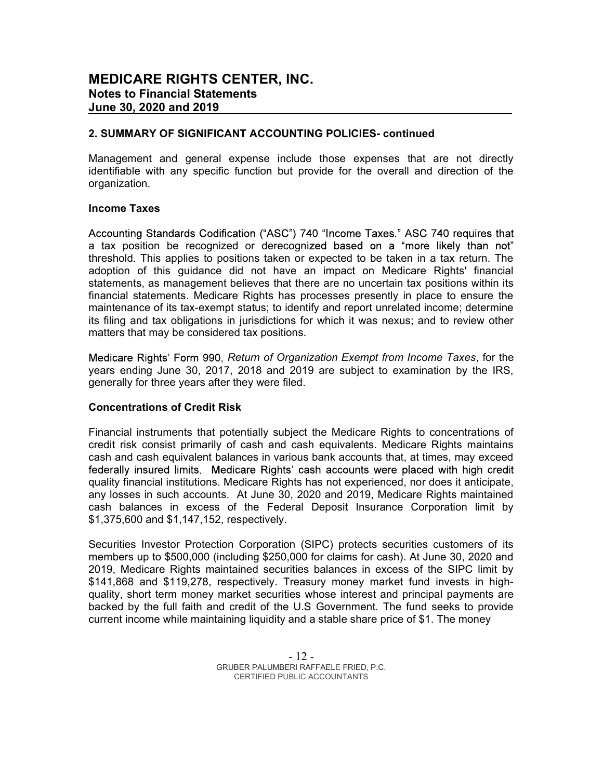#### 2. SUMMARY OF SIGNIFICANT ACCOUNTING POLICIES- continued

Management and general expense include those expenses that are not directly identifiable with any specific function but provide for the overall and direction of the organization.

#### Income Taxes

Accounting Standards Codification ("ASC") 740 "Income Taxes." ASC 740 requires that a tax position be recognized or derecognized based on a "more likely than not" threshold. This applies to positions taken or expected to be taken in a tax return. The adoption of this guidance did not have an impact on Medicare Rights' financial statements, as management believes that there are no uncertain tax positions within its financial statements. Medicare Rights has processes presently in place to ensure the maintenance of its tax-exempt status; to identify and report unrelated income; determine its filing and tax obligations in jurisdictions for which it was nexus; and to review other matters that may be considered tax positions.

Medicare Rights' Form 990, Return of Organization Exempt from Income Taxes, for the years ending June 30, 2017, 2018 and 2019 are subject to examination by the IRS, generally for three years after they were filed.

#### Concentrations of Credit Risk

Financial instruments that potentially subject the Medicare Rights to concentrations of credit risk consist primarily of cash and cash equivalents. Medicare Rights maintains cash and cash equivalent balances in various bank accounts that, at times, may exceed federally insured limits. Medicare Rights' cash accounts were placed with high credit quality financial institutions. Medicare Rights has not experienced, nor does it anticipate, any losses in such accounts. At June 30, 2020 and 2019, Medicare Rights maintained cash balances in excess of the Federal Deposit Insurance Corporation limit by \$1,375,600 and \$1,147,152, respectively.

Securities Investor Protection Corporation (SIPC) protects securities customers of its members up to \$500,000 (including \$250,000 for claims for cash). At June 30, 2020 and 2019, Medicare Rights maintained securities balances in excess of the SIPC limit by \$141,868 and \$119,278, respectively. Treasury money market fund invests in highquality, short term money market securities whose interest and principal payments are backed by the full faith and credit of the U.S Government. The fund seeks to provide current income while maintaining liquidity and a stable share price of \$1. The money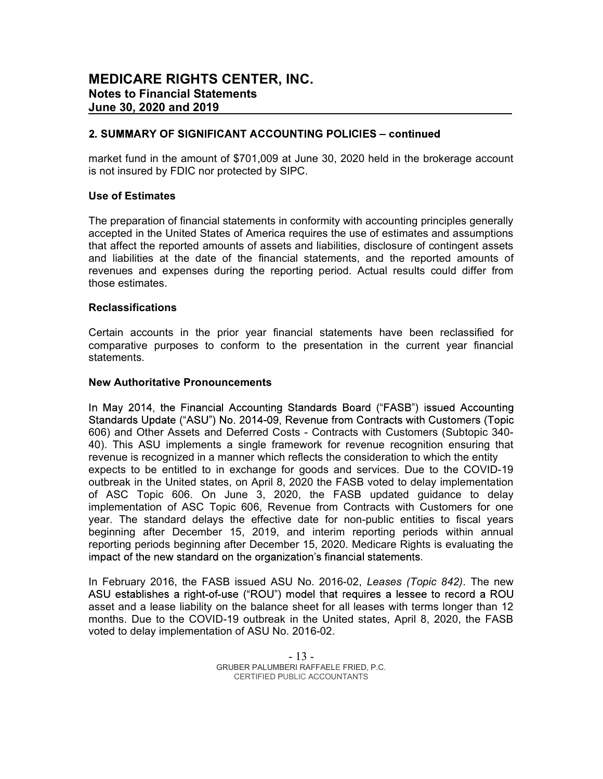#### 2. SUMMARY OF SIGNIFICANT ACCOUNTING POLICIES - continued

market fund in the amount of \$701,009 at June 30, 2020 held in the brokerage account is not insured by FDIC nor protected by SIPC.

#### Use of Estimates

The preparation of financial statements in conformity with accounting principles generally accepted in the United States of America requires the use of estimates and assumptions that affect the reported amounts of assets and liabilities, disclosure of contingent assets and liabilities at the date of the financial statements, and the reported amounts of revenues and expenses during the reporting period. Actual results could differ from those estimates.

#### Reclassifications

Certain accounts in the prior year financial statements have been reclassified for comparative purposes to conform to the presentation in the current year financial statements.

#### New Authoritative Pronouncements

In May 2014, the Financial Accounting Standards Board ("FASB") issued Accounting Standards Update ("ASU") No. 2014-09, Revenue from Contracts with Customers (Topic 606) and Other Assets and Deferred Costs - Contracts with Customers (Subtopic 340- 40). This ASU implements a single framework for revenue recognition ensuring that revenue is recognized in a manner which reflects the consideration to which the entity expects to be entitled to in exchange for goods and services. Due to the COVID-19 outbreak in the United states, on April 8, 2020 the FASB voted to delay implementation of ASC Topic 606. On June 3, 2020, the FASB updated guidance to delay implementation of ASC Topic 606, Revenue from Contracts with Customers for one year. The standard delays the effective date for non-public entities to fiscal years beginning after December 15, 2019, and interim reporting periods within annual reporting periods beginning after December 15, 2020. Medicare Rights is evaluating the impact of the new standard on the organization's financial statements.

In February 2016, the FASB issued ASU No. 2016-02, Leases (Topic 842). The new ASU establishes a right-of-use ("ROU") model that reguires a lessee to record a ROU asset and a lease liability on the balance sheet for all leases with terms longer than 12 months. Due to the COVID-19 outbreak in the United states, April 8, 2020, the FASB voted to delay implementation of ASU No. 2016-02.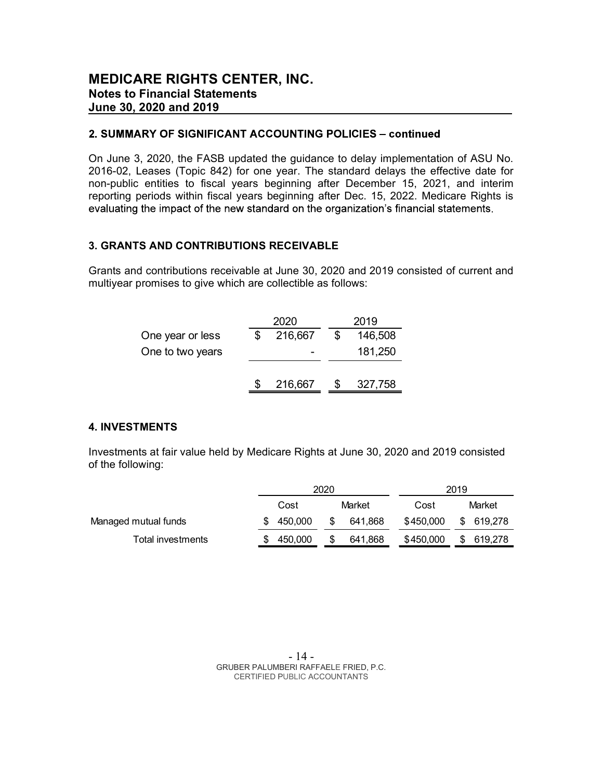#### 2. SUMMARY OF SIGNIFICANT ACCOUNTING POLICIES - continued

On June 3, 2020, the FASB updated the guidance to delay implementation of ASU No. 2016-02, Leases (Topic 842) for one year. The standard delays the effective date for non-public entities to fiscal years beginning after December 15, 2021, and interim reporting periods within fiscal years beginning after Dec. 15, 2022. Medicare Rights is evaluating the impact of the new standard on the organization's financial statements.

#### 3. GRANTS AND CONTRIBUTIONS RECEIVABLE

Grants and contributions receivable at June 30, 2020 and 2019 consisted of current and multiyear promises to give which are collectible as follows:

|                  | 2020    | 2019    |
|------------------|---------|---------|
| One year or less | 216,667 | 146,508 |
| One to two years |         | 181,250 |
|                  |         |         |
|                  | 216,667 | 327,758 |

#### 4. INVESTMENTS

Investments at fair value held by Medicare Rights at June 30, 2020 and 2019 consisted of the following:

|                      |         | 2020 |         |           | 2019 |            |
|----------------------|---------|------|---------|-----------|------|------------|
|                      | Cost    |      | Market  | Cost      |      | Market     |
| Managed mutual funds | 450.000 | S    | 641.868 | \$450,000 |      | \$ 619,278 |
| Total investments    | 450,000 |      | 641.868 | \$450,000 |      | 619.278    |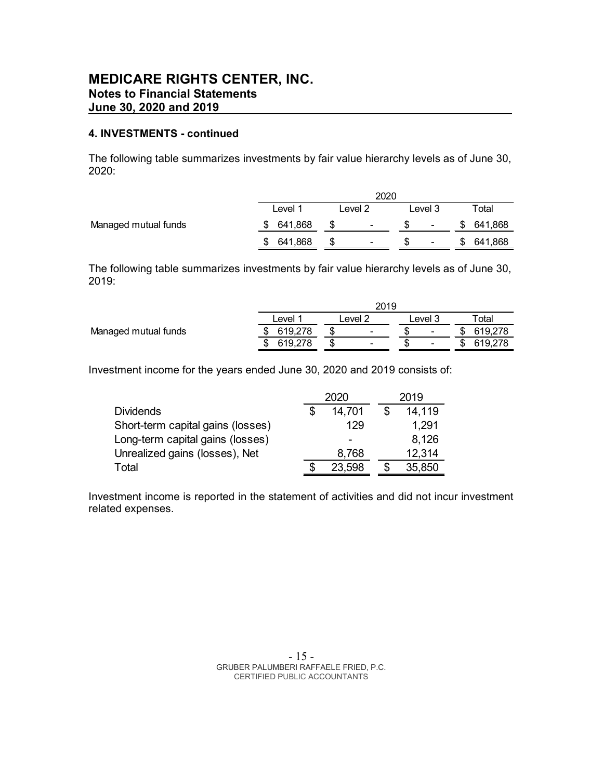#### 4. INVESTMENTS - continued

The following table summarizes investments by fair value hierarchy levels as of June 30, 2020:

|                      |               |         | 2020 |         |   |                   |
|----------------------|---------------|---------|------|---------|---|-------------------|
|                      | Level 1       | Level 2 |      | Level 3 |   | otal <sup>-</sup> |
| Managed mutual funds | 641,868<br>\$ | $\sim$  |      | ۰       | S | 641,868           |
|                      | 641,868<br>S  | ۰       |      | ۰       |   | 641,868           |

The following table summarizes investments by fair value hierarchy levels as of June 30, 2019:

|                      |         | 2019                     |         |         |
|----------------------|---------|--------------------------|---------|---------|
|                      | ∟evel   | evel 2                   | _evel 3 | otal.   |
| Managed mutual funds | 619,278 | $\overline{\phantom{0}}$ | ٠       | 619,278 |
|                      | 619,278 | $\sim$                   | ٠       | 619,278 |

Investment income for the years ended June 30, 2020 and 2019 consists of:

|                                   | 2020 |        |       | 2019   |  |
|-----------------------------------|------|--------|-------|--------|--|
| <b>Dividends</b>                  |      | 14,701 |       | 14,119 |  |
| Short-term capital gains (losses) |      | 129    | 1,291 |        |  |
| Long-term capital gains (losses)  |      | -      |       | 8,126  |  |
| Unrealized gains (losses), Net    |      | 8,768  |       | 12,314 |  |
| Total                             |      | 23,598 |       | 35,850 |  |

Investment income is reported in the statement of activities and did not incur investment related expenses.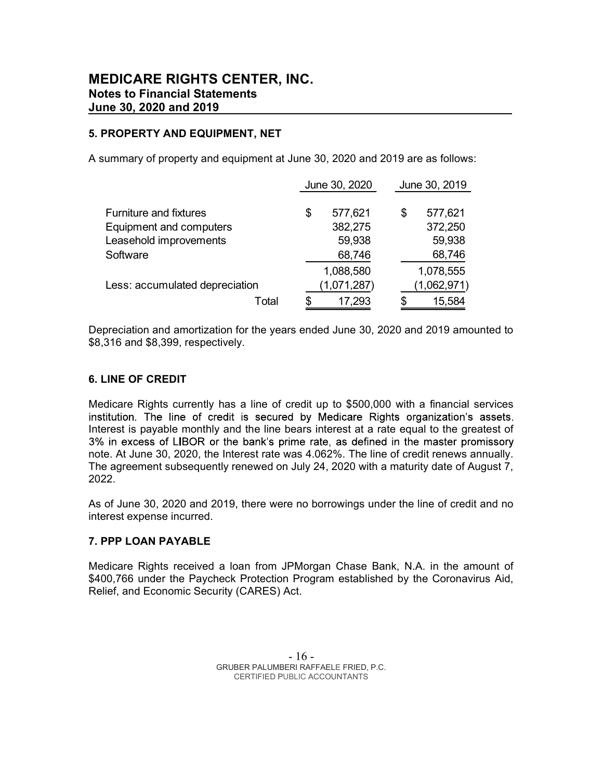#### 5. PROPERTY AND EQUIPMENT, NET

A summary of property and equipment at June 30, 2020 and 2019 are as follows:

|                                |     | June 30, 2020 |    | June 30, 2019 |  |  |
|--------------------------------|-----|---------------|----|---------------|--|--|
|                                |     |               |    |               |  |  |
| <b>Furniture and fixtures</b>  | \$  | 577,621       | \$ | 577,621       |  |  |
| <b>Equipment and computers</b> |     | 382,275       |    | 372,250       |  |  |
| Leasehold improvements         |     | 59,938        |    | 59,938        |  |  |
| Software                       |     | 68,746        |    | 68,746        |  |  |
|                                |     | 1,088,580     |    | 1,078,555     |  |  |
| Less: accumulated depreciation |     | (1,071,287)   |    | (1,062,971)   |  |  |
| Total                          | \$. | 17,293        |    | 15,584        |  |  |

Depreciation and amortization for the years ended June 30, 2020 and 2019 amounted to \$8,316 and \$8,399, respectively.

#### 6. LINE OF CREDIT

Medicare Rights currently has a line of credit up to \$500,000 with a financial services institution. The line of credit is secured by Medicare Rights organization's assets. Interest is payable monthly and the line bears interest at a rate equal to the greatest of 3% in excess of LIBOR or the bank's prime rate, as defined in the master promissory note. At June 30, 2020, the Interest rate was 4.062%. The line of credit renews annually. The agreement subsequently renewed on July 24, 2020 with a maturity date of August 7, 2022.

As of June 30, 2020 and 2019, there were no borrowings under the line of credit and no interest expense incurred.

#### 7. PPP LOAN PAYABLE

Medicare Rights received a loan from JPMorgan Chase Bank, N.A. in the amount of \$400,766 under the Paycheck Protection Program established by the Coronavirus Aid, Relief, and Economic Security (CARES) Act.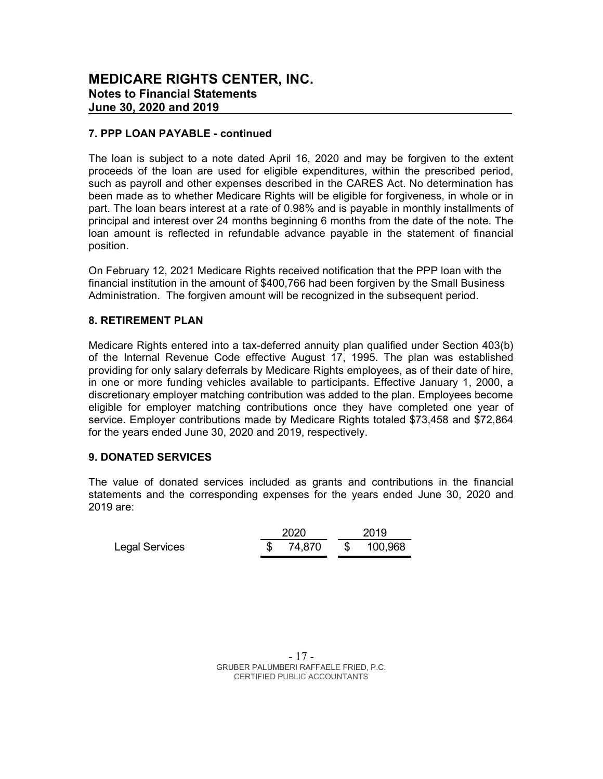#### 7. PPP LOAN PAYABLE - continued

The loan is subject to a note dated April 16, 2020 and may be forgiven to the extent proceeds of the loan are used for eligible expenditures, within the prescribed period, such as payroll and other expenses described in the CARES Act. No determination has been made as to whether Medicare Rights will be eligible for forgiveness, in whole or in part. The loan bears interest at a rate of 0.98% and is payable in monthly installments of principal and interest over 24 months beginning 6 months from the date of the note. The loan amount is reflected in refundable advance payable in the statement of financial position.

On February 12, 2021 Medicare Rights received notification that the PPP loan with the financial institution in the amount of \$400,766 had been forgiven by the Small Business Administration. The forgiven amount will be recognized in the subsequent period.

#### 8. RETIREMENT PLAN

Medicare Rights entered into a tax-deferred annuity plan qualified under Section 403(b) of the Internal Revenue Code effective August 17, 1995. The plan was established providing for only salary deferrals by Medicare Rights employees, as of their date of hire, in one or more funding vehicles available to participants. Effective January 1, 2000, a discretionary employer matching contribution was added to the plan. Employees become eligible for employer matching contributions once they have completed one year of service. Employer contributions made by Medicare Rights totaled \$73,458 and \$72,864 for the years ended June 30, 2020 and 2019, respectively.

#### 9. DONATED SERVICES

The value of donated services included as grants and contributions in the financial statements and the corresponding expenses for the years ended June 30, 2020 and 2019 are:

|                       | 2020 |          |              | 2019    |  |  |  |
|-----------------------|------|----------|--------------|---------|--|--|--|
| <b>Legal Services</b> |      | \$74,870 | $\mathbb{S}$ | 100,968 |  |  |  |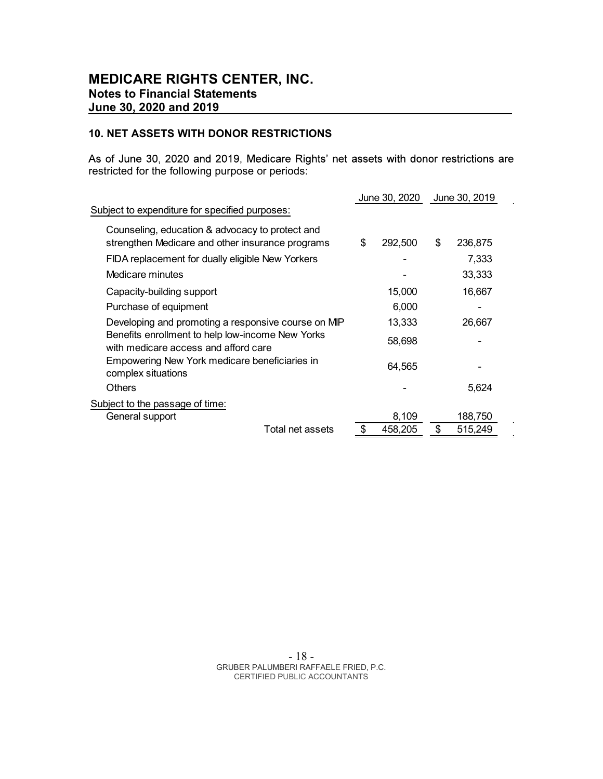#### 10. NET ASSETS WITH DONOR RESTRICTIONS

As of June 30, 2020 and 2019, Medicare Rights' net assets with donor restrictions are restricted for the following purpose or periods:

 $\overline{\phantom{a}}$ 

 $\mathbf{r}$  $\mathbf{r}$ 

|                                                                                                     | June 30, 2020 | June 30, 2019 |
|-----------------------------------------------------------------------------------------------------|---------------|---------------|
| Subject to expenditure for specified purposes:                                                      |               |               |
| Counseling, education & advocacy to protect and<br>strengthen Medicare and other insurance programs | \$<br>292,500 | \$<br>236,875 |
| FIDA replacement for dually eligible New Yorkers                                                    |               | 7,333         |
| Medicare minutes                                                                                    |               | 33,333        |
| Capacity-building support                                                                           | 15,000        | 16,667        |
| Purchase of equipment                                                                               | 6,000         |               |
| Developing and promoting a responsive course on MIP                                                 | 13,333        | 26,667        |
| Benefits enrollment to help low-income New Yorks<br>with medicare access and afford care            | 58,698        |               |
| Empowering New York medicare beneficiaries in<br>complex situations                                 | 64,565        |               |
| <b>Others</b>                                                                                       |               | 5,624         |
| Subject to the passage of time:                                                                     |               |               |
| General support                                                                                     | 8,109         | 188,750       |
| Total net assets                                                                                    | \$<br>458,205 | \$<br>515,249 |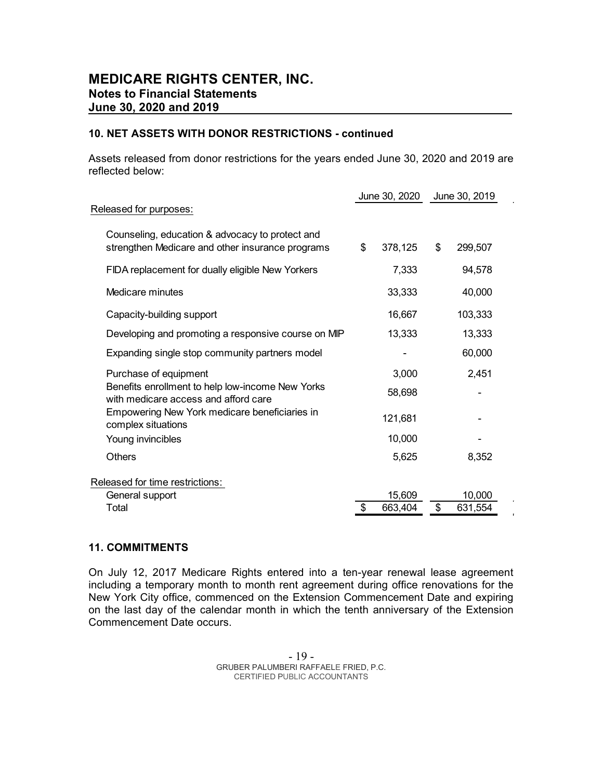#### 10. NET ASSETS WITH DONOR RESTRICTIONS - continued

Assets released from donor restrictions for the years ended June 30, 2020 and 2019 are reflected below:

|                                                                                                     | June 30, 2020 |         | June 30, 2019 |         |
|-----------------------------------------------------------------------------------------------------|---------------|---------|---------------|---------|
| Released for purposes:                                                                              |               |         |               |         |
| Counseling, education & advocacy to protect and<br>strengthen Medicare and other insurance programs | \$            | 378,125 | \$            | 299,507 |
| FIDA replacement for dually eligible New Yorkers                                                    |               | 7,333   |               | 94,578  |
| Medicare minutes                                                                                    |               | 33,333  |               | 40,000  |
| Capacity-building support                                                                           |               | 16,667  |               | 103,333 |
| Developing and promoting a responsive course on MIP                                                 |               | 13,333  |               | 13,333  |
| Expanding single stop community partners model                                                      |               |         |               | 60,000  |
| Purchase of equipment                                                                               |               | 3,000   |               | 2,451   |
| Benefits enrollment to help low-income New Yorks<br>with medicare access and afford care            |               | 58,698  |               |         |
| Empowering New York medicare beneficiaries in<br>complex situations                                 |               | 121,681 |               |         |
| Young invincibles                                                                                   |               | 10,000  |               |         |
| <b>Others</b>                                                                                       |               | 5,625   |               | 8,352   |
| Released for time restrictions:                                                                     |               |         |               |         |
| General support                                                                                     |               | 15,609  |               | 10,000  |
| Total                                                                                               | \$            | 663,404 | \$            | 631,554 |

#### 11. COMMITMENTS

On July 12, 2017 Medicare Rights entered into a ten-year renewal lease agreement including a temporary month to month rent agreement during office renovations for the New York City office, commenced on the Extension Commencement Date and expiring on the last day of the calendar month in which the tenth anniversary of the Extension Commencement Date occurs.

 $\hat{\mathbf{r}}$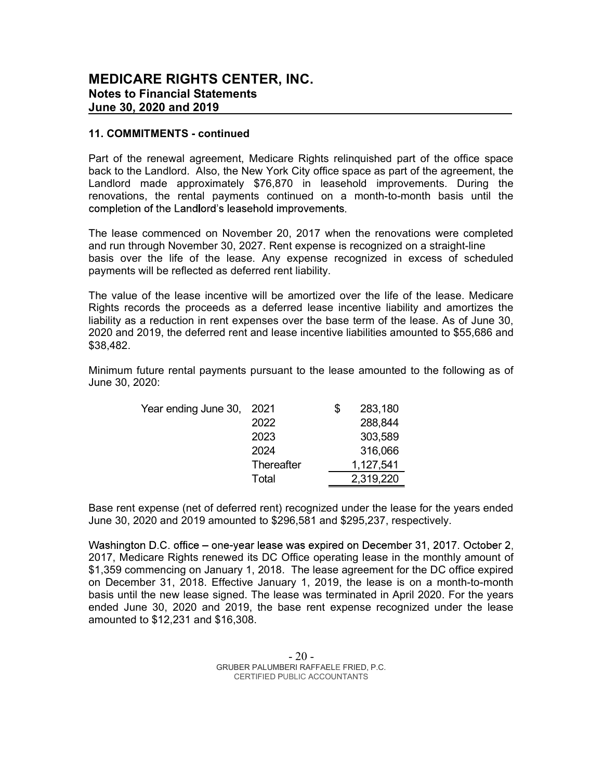#### 11. COMMITMENTS - continued

Part of the renewal agreement, Medicare Rights relinquished part of the office space back to the Landlord. Also, the New York City office space as part of the agreement, the Landlord made approximately \$76,870 in leasehold improvements. During the renovations, the rental payments continued on a month-to-month basis until the completion of the Landlord's leasehold improvements.

The lease commenced on November 20, 2017 when the renovations were completed and run through November 30, 2027. Rent expense is recognized on a straight-line basis over the life of the lease. Any expense recognized in excess of scheduled payments will be reflected as deferred rent liability.

The value of the lease incentive will be amortized over the life of the lease. Medicare Rights records the proceeds as a deferred lease incentive liability and amortizes the liability as a reduction in rent expenses over the base term of the lease. As of June 30, 2020 and 2019, the deferred rent and lease incentive liabilities amounted to \$55,686 and \$38,482.

Minimum future rental payments pursuant to the lease amounted to the following as of June 30, 2020:

| Year ending June 30, | 2021       | S | 283,180   |
|----------------------|------------|---|-----------|
|                      | 2022       |   | 288,844   |
|                      | 2023       |   | 303,589   |
|                      | 2024       |   | 316,066   |
|                      | Thereafter |   | 1,127,541 |
|                      | Total      |   | 2,319,220 |

Base rent expense (net of deferred rent) recognized under the lease for the years ended June 30, 2020 and 2019 amounted to \$296,581 and \$295,237, respectively.

Washington D.C. office – one-year lease was expired on December 31, 2017. October 2, 2017, Medicare Rights renewed its DC Office operating lease in the monthly amount of \$1,359 commencing on January 1, 2018. The lease agreement for the DC office expired on December 31, 2018. Effective January 1, 2019, the lease is on a month-to-month basis until the new lease signed. The lease was terminated in April 2020. For the years ended June 30, 2020 and 2019, the base rent expense recognized under the lease amounted to \$12,231 and \$16,308.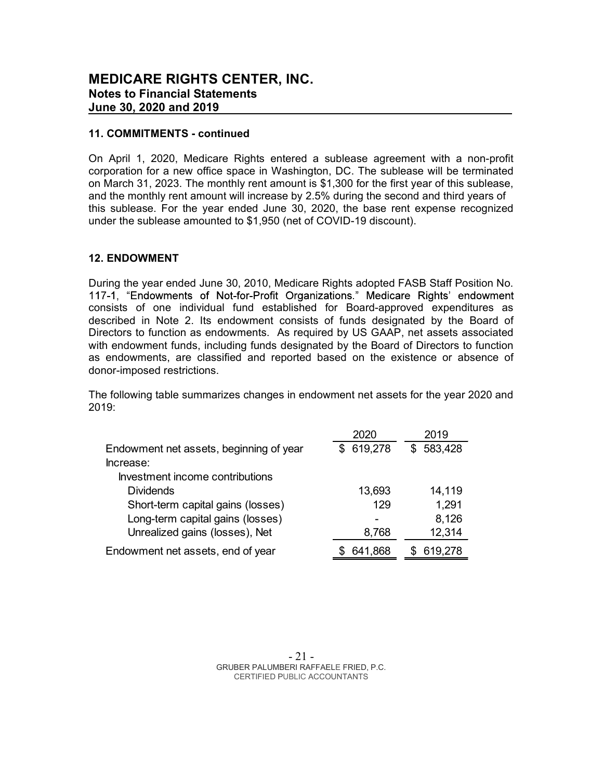#### 11. COMMITMENTS - continued

On April 1, 2020, Medicare Rights entered a sublease agreement with a non-profit corporation for a new office space in Washington, DC. The sublease will be terminated on March 31, 2023. The monthly rent amount is \$1,300 for the first year of this sublease, and the monthly rent amount will increase by 2.5% during the second and third years of this sublease. For the year ended June 30, 2020, the base rent expense recognized under the sublease amounted to \$1,950 (net of COVID-19 discount).

#### 12. ENDOWMENT

During the year ended June 30, 2010, Medicare Rights adopted FASB Staff Position No. 117-1, "Endowments of Not-for-Profit Organizations." Medicare Rights' endowment consists of one individual fund established for Board-approved expenditures as described in Note 2. Its endowment consists of funds designated by the Board of Directors to function as endowments. As required by US GAAP, net assets associated with endowment funds, including funds designated by the Board of Directors to function as endowments, are classified and reported based on the existence or absence of donor-imposed restrictions.

The following table summarizes changes in endowment net assets for the year 2020 and 2019:

|                                         | 2020           | 2019      |
|-----------------------------------------|----------------|-----------|
| Endowment net assets, beginning of year | 619,278<br>\$. | \$583,428 |
| Increase:                               |                |           |
| Investment income contributions         |                |           |
| <b>Dividends</b>                        | 13,693         | 14,119    |
| Short-term capital gains (losses)       | 129            | 1,291     |
| Long-term capital gains (losses)        |                | 8,126     |
| Unrealized gains (losses), Net          | 8,768          | 12,314    |
| Endowment net assets, end of year       | 641,868        | 619,278   |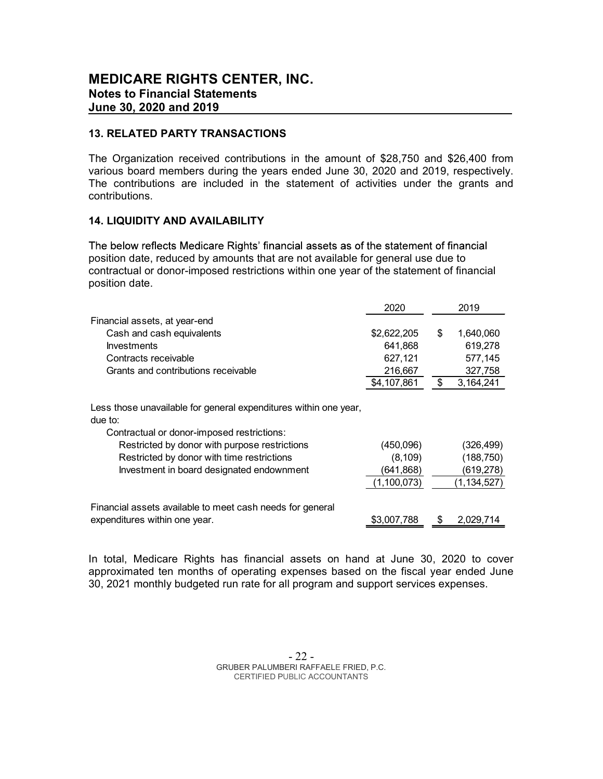#### 13. RELATED PARTY TRANSACTIONS

The Organization received contributions in the amount of \$28,750 and \$26,400 from various board members during the years ended June 30, 2020 and 2019, respectively. The contributions are included in the statement of activities under the grants and contributions.

#### 14. LIQUIDITY AND AVAILABILITY

The below reflects Medicare Rights' financial assets as of the statement of financial position date, reduced by amounts that are not available for general use due to contractual or donor-imposed restrictions within one year of the statement of financial position date.

|                                                                             | 2020        |    | 2019        |
|-----------------------------------------------------------------------------|-------------|----|-------------|
| Financial assets, at year-end                                               |             |    |             |
| Cash and cash equivalents                                                   | \$2,622,205 | S  | 1,640,060   |
| <b>Investments</b>                                                          | 641,868     |    | 619,278     |
| Contracts receivable                                                        | 627,121     |    | 577,145     |
| Grants and contributions receivable                                         | 216,667     |    | 327,758     |
|                                                                             | \$4,107,861 | \$ | 3,164,241   |
| Less those unavailable for general expenditures within one year,<br>due to: |             |    |             |
| Contractual or donor-imposed restrictions:                                  |             |    |             |
| Restricted by donor with purpose restrictions                               | (450,096)   |    | (326, 499)  |
| Restricted by donor with time restrictions                                  | (8, 109)    |    | (188, 750)  |
| Investment in board designated endownment                                   | (641,868)   |    | (619,278)   |
|                                                                             | (1,100,073) |    | (1,134,527) |
| Financial assets available to meet cash needs for general                   |             |    |             |
| expenditures within one year.                                               | \$3,007,788 | S  | 2,029,714   |

In total, Medicare Rights has financial assets on hand at June 30, 2020 to cover approximated ten months of operating expenses based on the fiscal year ended June 30, 2021 monthly budgeted run rate for all program and support services expenses.